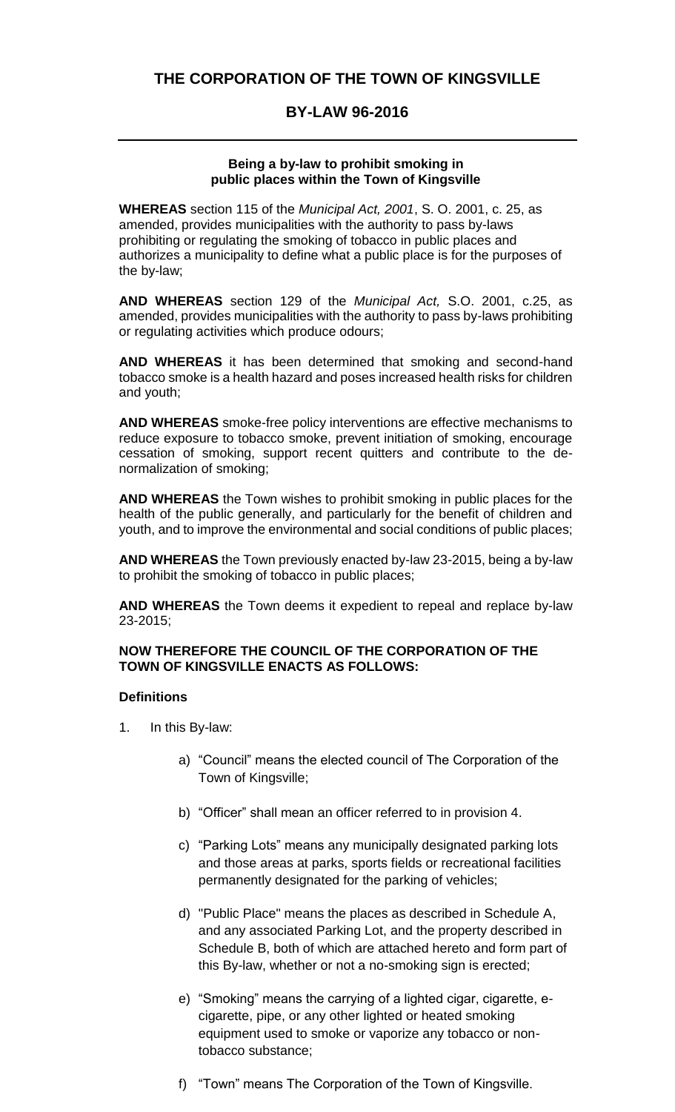## **BY-LAW 96-2016**

#### **Being a by-law to prohibit smoking in public places within the Town of Kingsville**

**WHEREAS** section 115 of the *Municipal Act, 2001*, S. O. 2001, c. 25, as amended, provides municipalities with the authority to pass by-laws prohibiting or regulating the smoking of tobacco in public places and authorizes a municipality to define what a public place is for the purposes of the by-law;

**AND WHEREAS** section 129 of the *Municipal Act,* S.O. 2001, c.25, as amended, provides municipalities with the authority to pass by-laws prohibiting or regulating activities which produce odours;

**AND WHEREAS** it has been determined that smoking and second-hand tobacco smoke is a health hazard and poses increased health risks for children and youth;

**AND WHEREAS** smoke-free policy interventions are effective mechanisms to reduce exposure to tobacco smoke, prevent initiation of smoking, encourage cessation of smoking, support recent quitters and contribute to the denormalization of smoking;

**AND WHEREAS** the Town wishes to prohibit smoking in public places for the health of the public generally, and particularly for the benefit of children and youth, and to improve the environmental and social conditions of public places;

**AND WHEREAS** the Town previously enacted by-law 23-2015, being a by-law to prohibit the smoking of tobacco in public places;

**AND WHEREAS** the Town deems it expedient to repeal and replace by-law 23-2015;

#### **NOW THEREFORE THE COUNCIL OF THE CORPORATION OF THE TOWN OF KINGSVILLE ENACTS AS FOLLOWS:**

#### **Definitions**

- 1. In this By-law:
	- a) "Council" means the elected council of The Corporation of the Town of Kingsville;
	- b) "Officer" shall mean an officer referred to in provision 4.
	- c) "Parking Lots" means any municipally designated parking lots and those areas at parks, sports fields or recreational facilities permanently designated for the parking of vehicles;
	- d) "Public Place" means the places as described in Schedule A, and any associated Parking Lot, and the property described in Schedule B, both of which are attached hereto and form part of this By-law, whether or not a no-smoking sign is erected;
	- e) "Smoking" means the carrying of a lighted cigar, cigarette, ecigarette, pipe, or any other lighted or heated smoking equipment used to smoke or vaporize any tobacco or nontobacco substance;
	- f) "Town" means The Corporation of the Town of Kingsville.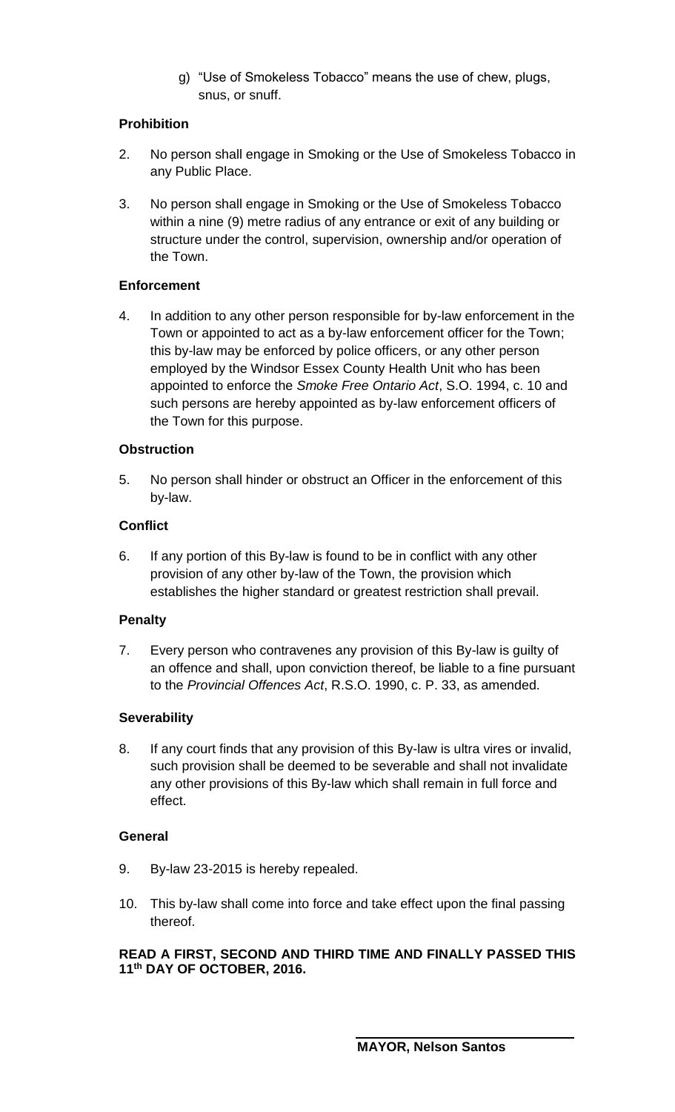g) "Use of Smokeless Tobacco" means the use of chew, plugs, snus, or snuff.

## **Prohibition**

- 2. No person shall engage in Smoking or the Use of Smokeless Tobacco in any Public Place.
- 3. No person shall engage in Smoking or the Use of Smokeless Tobacco within a nine (9) metre radius of any entrance or exit of any building or structure under the control, supervision, ownership and/or operation of the Town.

## **Enforcement**

4. In addition to any other person responsible for by-law enforcement in the Town or appointed to act as a by-law enforcement officer for the Town; this by-law may be enforced by police officers, or any other person employed by the Windsor Essex County Health Unit who has been appointed to enforce the *Smoke Free Ontario Act*, S.O. 1994, c. 10 and such persons are hereby appointed as by-law enforcement officers of the Town for this purpose.

## **Obstruction**

5. No person shall hinder or obstruct an Officer in the enforcement of this by-law.

## **Conflict**

6. If any portion of this By-law is found to be in conflict with any other provision of any other by-law of the Town, the provision which establishes the higher standard or greatest restriction shall prevail.

# **Penalty**

7. Every person who contravenes any provision of this By-law is guilty of an offence and shall, upon conviction thereof, be liable to a fine pursuant to the *Provincial Offences Act*, R.S.O. 1990, c. P. 33, as amended.

### **Severability**

8. If any court finds that any provision of this By-law is ultra vires or invalid, such provision shall be deemed to be severable and shall not invalidate any other provisions of this By-law which shall remain in full force and effect.

### **General**

- 9. By-law 23-2015 is hereby repealed.
- 10. This by-law shall come into force and take effect upon the final passing thereof.

**READ A FIRST, SECOND AND THIRD TIME AND FINALLY PASSED THIS 11th DAY OF OCTOBER, 2016.**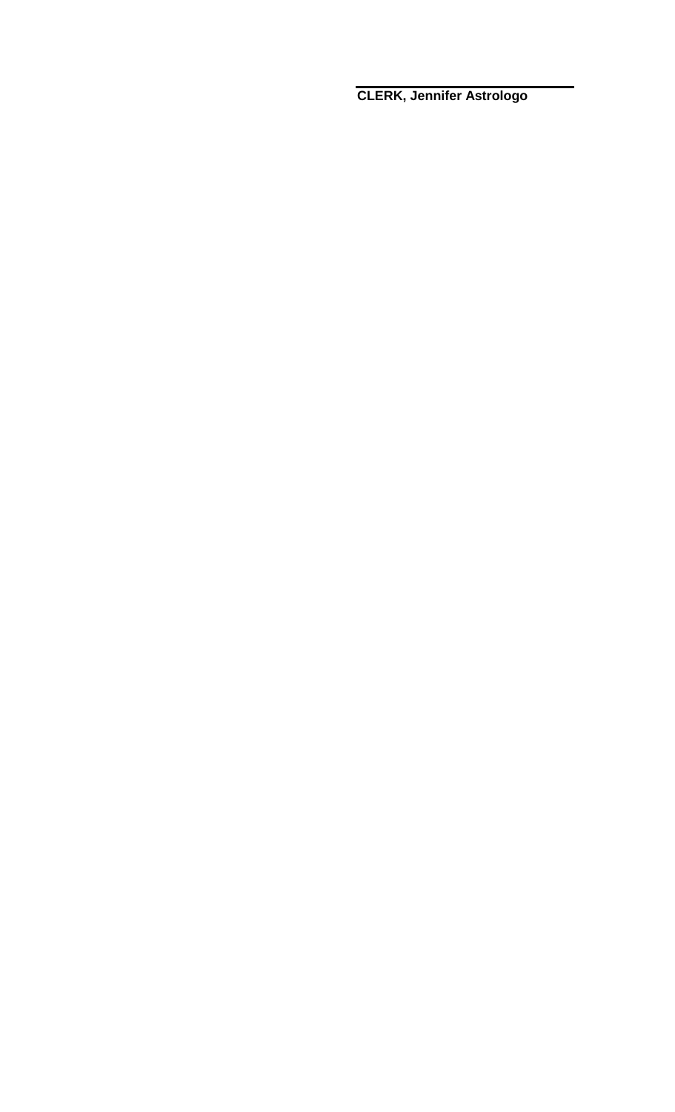**CLERK, Jennifer Astrologo**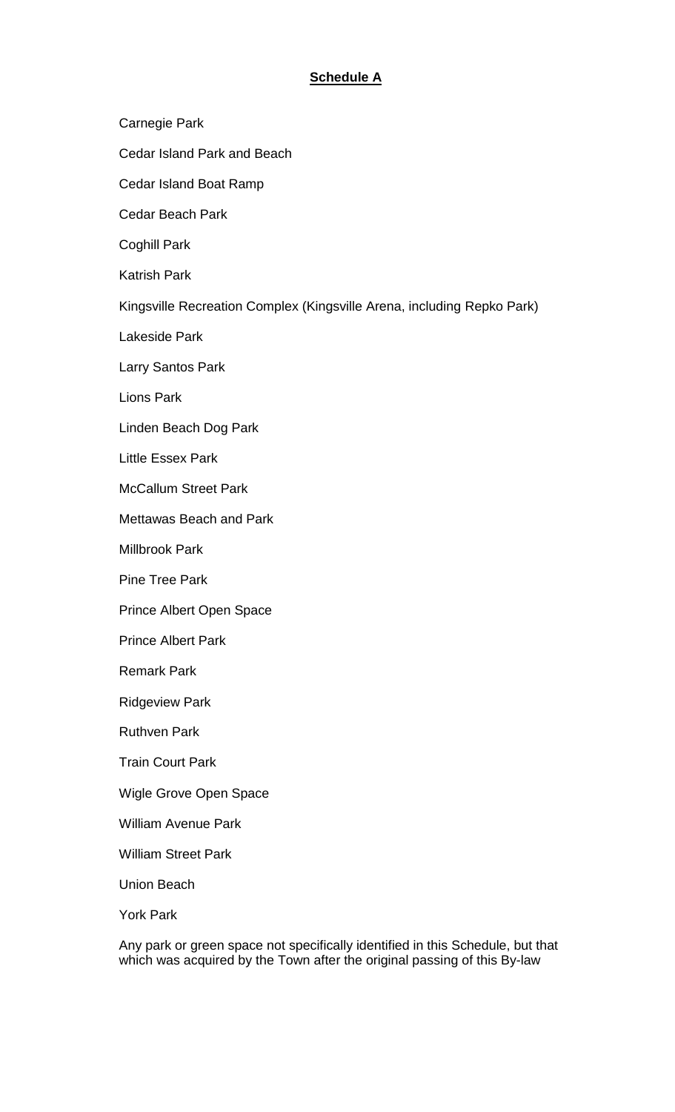# **Schedule A**

- Carnegie Park
- Cedar Island Park and Beach
- Cedar Island Boat Ramp
- Cedar Beach Park
- Coghill Park
- Katrish Park
- Kingsville Recreation Complex (Kingsville Arena, including Repko Park)
- Lakeside Park
- Larry Santos Park
- Lions Park
- Linden Beach Dog Park
- Little Essex Park
- McCallum Street Park
- Mettawas Beach and Park
- Millbrook Park
- Pine Tree Park
- Prince Albert Open Space
- Prince Albert Park
- Remark Park
- Ridgeview Park
- Ruthven Park
- Train Court Park
- Wigle Grove Open Space
- William Avenue Park
- William Street Park
- Union Beach
- York Park
- Any park or green space not specifically identified in this Schedule, but that which was acquired by the Town after the original passing of this By-law